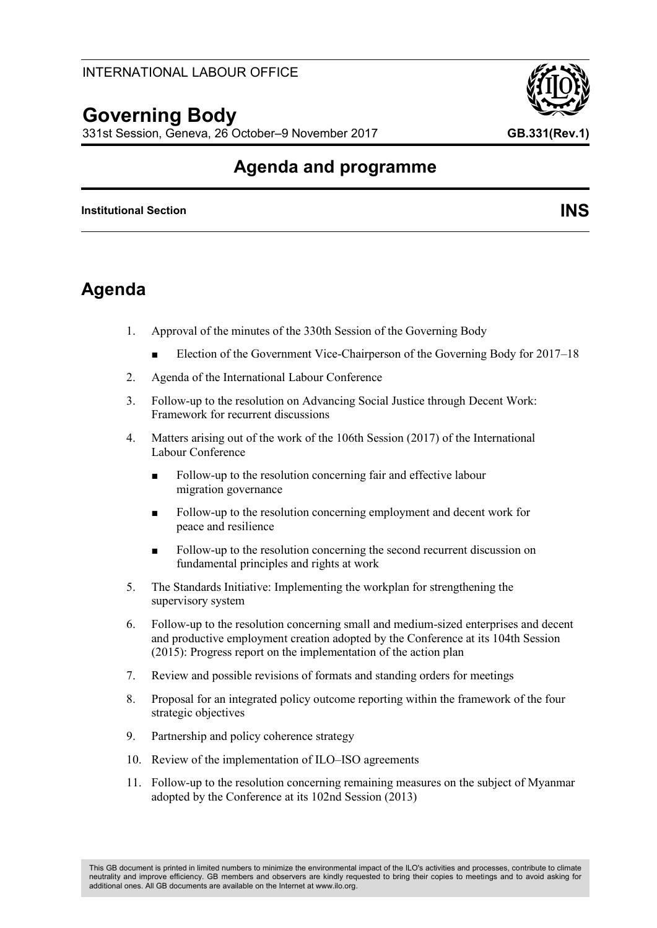# **Governing Body**

331st Session, Geneva, 26 October–9 November 2017 **GB.331(Rev.1)**

# **Agenda and programme**

#### **Institutional Section INS**

# **Agenda**

- 1. Approval of the minutes of the 330th Session of the Governing Body
	- Election of the Government Vice-Chairperson of the Governing Body for 2017–18
- 2. Agenda of the International Labour Conference
- 3. Follow-up to the resolution on Advancing Social Justice through Decent Work: Framework for recurrent discussions
- 4. Matters arising out of the work of the 106th Session (2017) of the International Labour Conference
	- Follow-up to the resolution concerning fair and effective labour migration governance
	- Follow-up to the resolution concerning employment and decent work for peace and resilience
	- Follow-up to the resolution concerning the second recurrent discussion on fundamental principles and rights at work
- 5. The Standards Initiative: Implementing the workplan for strengthening the supervisory system
- 6. Follow-up to the resolution concerning small and medium-sized enterprises and decent and productive employment creation adopted by the Conference at its 104th Session (2015): Progress report on the implementation of the action plan
- 7. Review and possible revisions of formats and standing orders for meetings
- 8. Proposal for an integrated policy outcome reporting within the framework of the four strategic objectives
- 9. Partnership and policy coherence strategy
- 10. Review of the implementation of ILO–ISO agreements
- 11. Follow-up to the resolution concerning remaining measures on the subject of Myanmar adopted by the Conference at its 102nd Session (2013)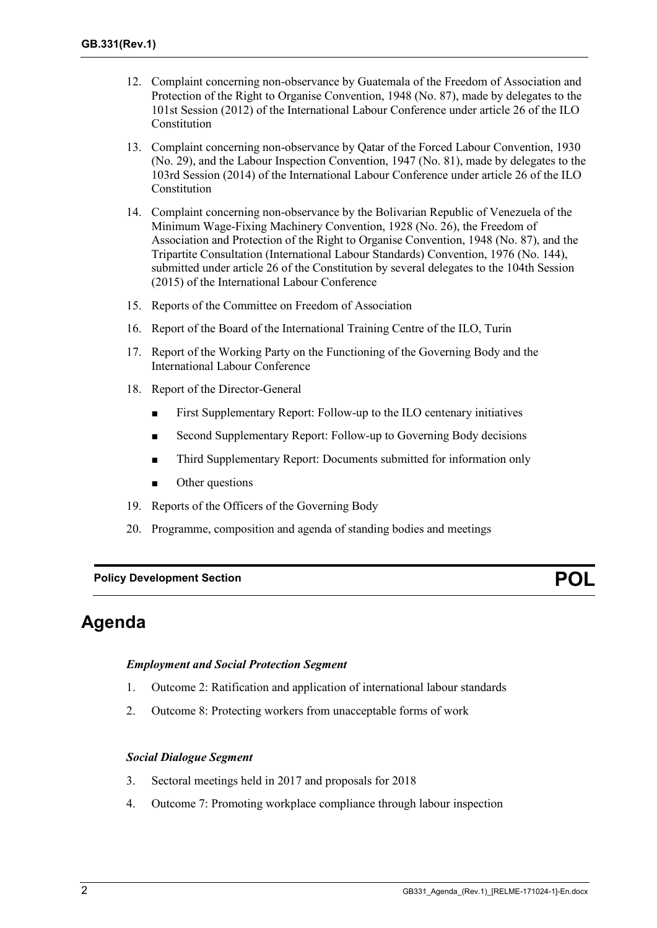- 12. Complaint concerning non-observance by Guatemala of the Freedom of Association and Protection of the Right to Organise Convention, 1948 (No. 87), made by delegates to the 101st Session (2012) of the International Labour Conference under article 26 of the ILO Constitution
- 13. Complaint concerning non-observance by Qatar of the Forced Labour Convention, 1930 (No. 29), and the Labour Inspection Convention, 1947 (No. 81), made by delegates to the 103rd Session (2014) of the International Labour Conference under article 26 of the ILO Constitution
- 14. Complaint concerning non-observance by the Bolivarian Republic of Venezuela of the Minimum Wage-Fixing Machinery Convention, 1928 (No. 26), the Freedom of Association and Protection of the Right to Organise Convention, 1948 (No. 87), and the Tripartite Consultation (International Labour Standards) Convention, 1976 (No. 144), submitted under article 26 of the Constitution by several delegates to the 104th Session (2015) of the International Labour Conference
- 15. Reports of the Committee on Freedom of Association
- 16. Report of the Board of the International Training Centre of the ILO, Turin
- 17. Report of the Working Party on the Functioning of the Governing Body and the International Labour Conference
- 18. Report of the Director-General
	- First Supplementary Report: Follow-up to the ILO centenary initiatives
	- Second Supplementary Report: Follow-up to Governing Body decisions
	- Third Supplementary Report: Documents submitted for information only
	- Other questions
- 19. Reports of the Officers of the Governing Body
- 20. Programme, composition and agenda of standing bodies and meetings

**Policy Development Section POL**

## **Agenda**

#### *Employment and Social Protection Segment*

- 1. Outcome 2: Ratification and application of international labour standards
- 2. Outcome 8: Protecting workers from unacceptable forms of work

#### *Social Dialogue Segment*

- 3. Sectoral meetings held in 2017 and proposals for 2018
- 4. Outcome 7: Promoting workplace compliance through labour inspection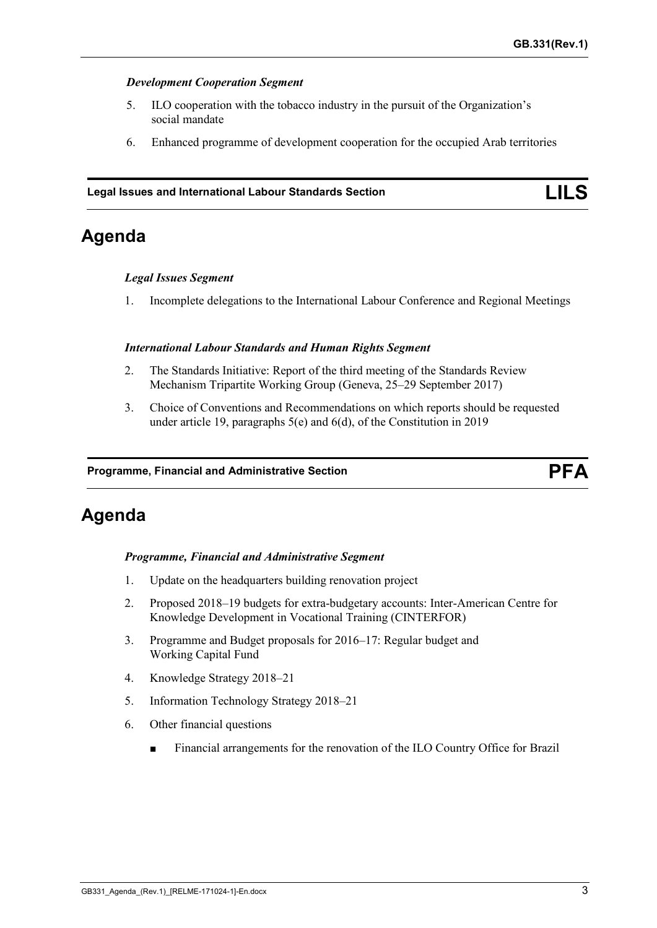#### *Development Cooperation Segment*

- 5. ILO cooperation with the tobacco industry in the pursuit of the Organization's social mandate
- 6. Enhanced programme of development cooperation for the occupied Arab territories

#### **Legal Issues and International Labour Standards Section LILS**

# **Agenda**

#### *Legal Issues Segment*

1. Incomplete delegations to the International Labour Conference and Regional Meetings

#### *International Labour Standards and Human Rights Segment*

- 2. The Standards Initiative: Report of the third meeting of the Standards Review Mechanism Tripartite Working Group (Geneva, 25–29 September 2017)
- 3. Choice of Conventions and Recommendations on which reports should be requested under article 19, paragraphs 5(e) and 6(d), of the Constitution in 2019

#### **Programme, Financial and Administrative Section PFA**

# **Agenda**

#### *Programme, Financial and Administrative Segment*

- 1. Update on the headquarters building renovation project
- 2. Proposed 2018–19 budgets for extra-budgetary accounts: Inter-American Centre for Knowledge Development in Vocational Training (CINTERFOR)
- 3. Programme and Budget proposals for 2016–17: Regular budget and Working Capital Fund
- 4. Knowledge Strategy 2018–21
- 5. Information Technology Strategy 2018–21
- 6. Other financial questions
	- Financial arrangements for the renovation of the ILO Country Office for Brazil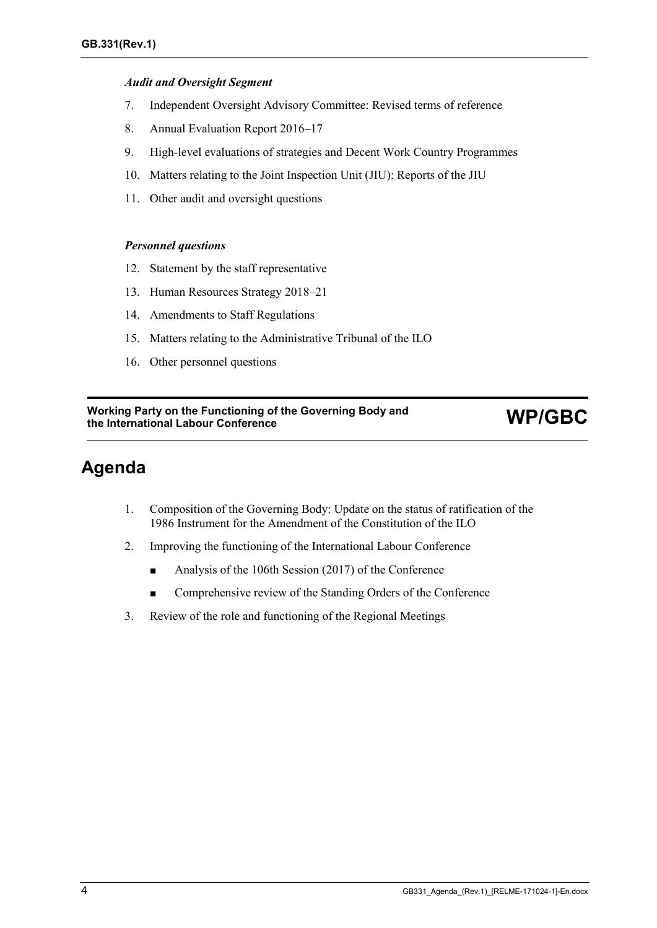#### *Audit and Oversight Segment*

- 7. Independent Oversight Advisory Committee: Revised terms of reference
- 8. Annual Evaluation Report 2016–17
- 9. High-level evaluations of strategies and Decent Work Country Programmes
- 10. Matters relating to the Joint Inspection Unit (JIU): Reports of the JIU
- 11. Other audit and oversight questions

#### *Personnel questions*

- 12. Statement by the staff representative
- 13. Human Resources Strategy 2018–21
- 14. Amendments to Staff Regulations
- 15. Matters relating to the Administrative Tribunal of the ILO
- 16. Other personnel questions

# **Working Party on the Functioning of the Governing Body and the International Labour Conference WP/GBC**

# **Agenda**

- 1. Composition of the Governing Body: Update on the status of ratification of the 1986 Instrument for the Amendment of the Constitution of the ILO
- 2. Improving the functioning of the International Labour Conference
	- Analysis of the 106th Session (2017) of the Conference
	- Comprehensive review of the Standing Orders of the Conference
- 3. Review of the role and functioning of the Regional Meetings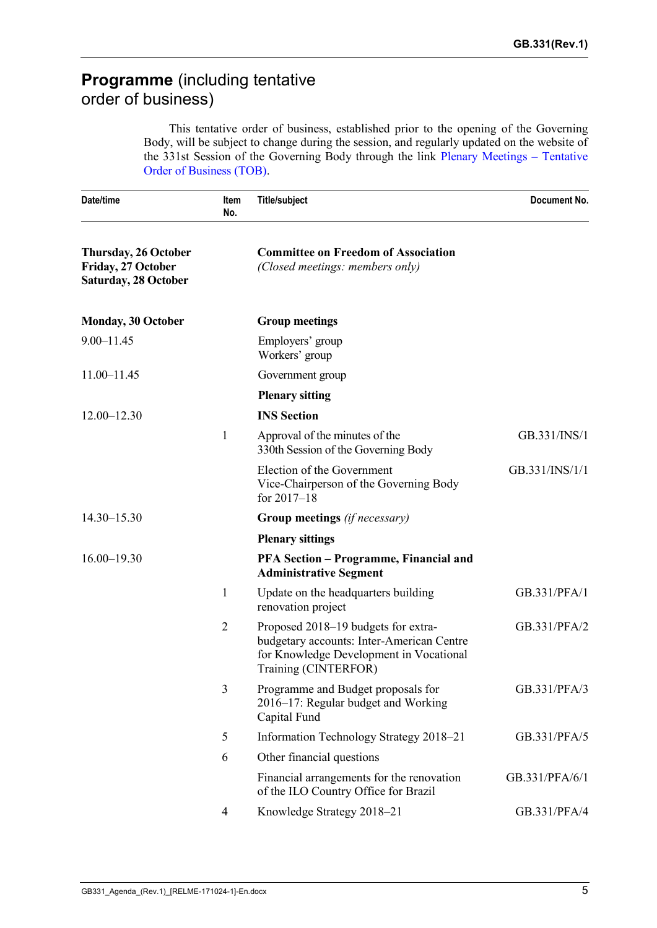# **Programme** (including tentative order of business)

This tentative order of business, established prior to the opening of the Governing Body, will be subject to change during the session, and regularly updated on the website of the 331st Session of the Governing Body through the link [Plenary Meetings](http://www.ilo.org/TOB/WebDisplaySchedule.aspx?lang=english) – Tentative [Order of Business \(TOB\).](http://www.ilo.org/TOB/WebDisplaySchedule.aspx?lang=english)

| Date/time<br><b>Title/subject</b><br><b>Item</b><br>No.                   |                | Document No.                                                                                                                                        |                |
|---------------------------------------------------------------------------|----------------|-----------------------------------------------------------------------------------------------------------------------------------------------------|----------------|
| Thursday, 26 October<br>Friday, 27 October<br><b>Saturday, 28 October</b> |                | <b>Committee on Freedom of Association</b><br>(Closed meetings: members only)                                                                       |                |
| <b>Monday, 30 October</b>                                                 |                | <b>Group meetings</b>                                                                                                                               |                |
| $9.00 - 11.45$                                                            |                | Employers' group<br>Workers' group                                                                                                                  |                |
| 11.00-11.45                                                               |                | Government group                                                                                                                                    |                |
|                                                                           |                | <b>Plenary sitting</b>                                                                                                                              |                |
| $12.00 - 12.30$                                                           |                | <b>INS</b> Section                                                                                                                                  |                |
|                                                                           | 1              | Approval of the minutes of the<br>330th Session of the Governing Body                                                                               | GB.331/INS/1   |
|                                                                           |                | Election of the Government<br>Vice-Chairperson of the Governing Body<br>for $2017 - 18$                                                             | GB.331/INS/1/1 |
| $14.30 - 15.30$                                                           |                | Group meetings (if necessary)                                                                                                                       |                |
|                                                                           |                | <b>Plenary sittings</b>                                                                                                                             |                |
| $16.00 - 19.30$                                                           |                | <b>PFA Section – Programme, Financial and</b><br><b>Administrative Segment</b>                                                                      |                |
|                                                                           | 1              | Update on the headquarters building<br>renovation project                                                                                           | GB.331/PFA/1   |
|                                                                           | $\overline{2}$ | Proposed 2018-19 budgets for extra-<br>budgetary accounts: Inter-American Centre<br>for Knowledge Development in Vocational<br>Training (CINTERFOR) | GB.331/PFA/2   |
|                                                                           | 3              | Programme and Budget proposals for<br>2016–17: Regular budget and Working<br>Capital Fund                                                           | GB.331/PFA/3   |
|                                                                           | 5              | Information Technology Strategy 2018-21                                                                                                             | GB.331/PFA/5   |
|                                                                           | 6              | Other financial questions                                                                                                                           |                |
|                                                                           |                | Financial arrangements for the renovation<br>of the ILO Country Office for Brazil                                                                   | GB.331/PFA/6/1 |
|                                                                           | $\overline{4}$ | Knowledge Strategy 2018-21                                                                                                                          | GB.331/PFA/4   |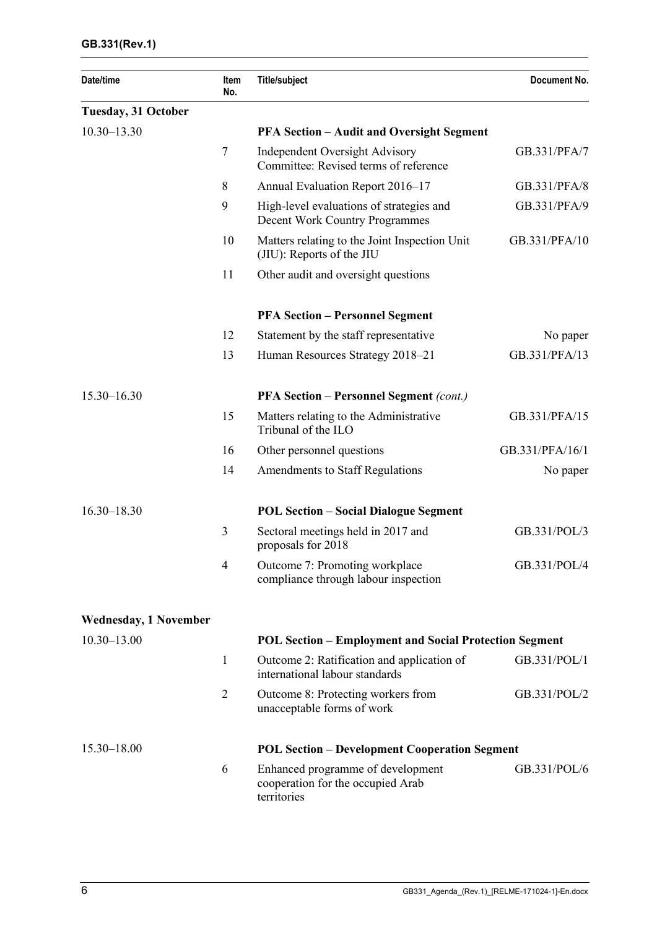| Date/time                    | Item<br>No.    | <b>Title/subject</b>                                                                  | Document No.    |
|------------------------------|----------------|---------------------------------------------------------------------------------------|-----------------|
| <b>Tuesday, 31 October</b>   |                |                                                                                       |                 |
| $10.30 - 13.30$              |                | <b>PFA Section – Audit and Oversight Segment</b>                                      |                 |
|                              | $\tau$         | <b>Independent Oversight Advisory</b><br>Committee: Revised terms of reference        | GB.331/PFA/7    |
|                              | 8              | Annual Evaluation Report 2016-17                                                      | GB.331/PFA/8    |
|                              | 9              | High-level evaluations of strategies and<br>Decent Work Country Programmes            | GB.331/PFA/9    |
|                              | 10             | Matters relating to the Joint Inspection Unit<br>(JIU): Reports of the JIU            | GB.331/PFA/10   |
|                              | 11             | Other audit and oversight questions                                                   |                 |
|                              |                | <b>PFA Section - Personnel Segment</b>                                                |                 |
|                              | 12             | Statement by the staff representative                                                 | No paper        |
|                              | 13             | Human Resources Strategy 2018–21                                                      | GB.331/PFA/13   |
| $15.30 - 16.30$              |                | <b>PFA Section - Personnel Segment (cont.)</b>                                        |                 |
|                              | 15             | Matters relating to the Administrative<br>Tribunal of the ILO                         | GB.331/PFA/15   |
|                              | 16             | Other personnel questions                                                             | GB.331/PFA/16/1 |
|                              | 14             | Amendments to Staff Regulations                                                       | No paper        |
| $16.30 - 18.30$              |                | <b>POL Section - Social Dialogue Segment</b>                                          |                 |
|                              | 3              | Sectoral meetings held in 2017 and<br>proposals for 2018                              | GB.331/POL/3    |
|                              | $\overline{4}$ | Outcome 7: Promoting workplace<br>compliance through labour inspection                | GB.331/POL/4    |
| <b>Wednesday, 1 November</b> |                |                                                                                       |                 |
| $10.30 - 13.00$              |                | <b>POL Section - Employment and Social Protection Segment</b>                         |                 |
|                              | 1              | Outcome 2: Ratification and application of<br>international labour standards          | GB.331/POL/1    |
|                              | $\overline{2}$ | Outcome 8: Protecting workers from<br>unacceptable forms of work                      | GB.331/POL/2    |
| 15.30-18.00                  |                | <b>POL Section – Development Cooperation Segment</b>                                  |                 |
|                              | 6              | Enhanced programme of development<br>cooperation for the occupied Arab<br>territories | GB.331/POL/6    |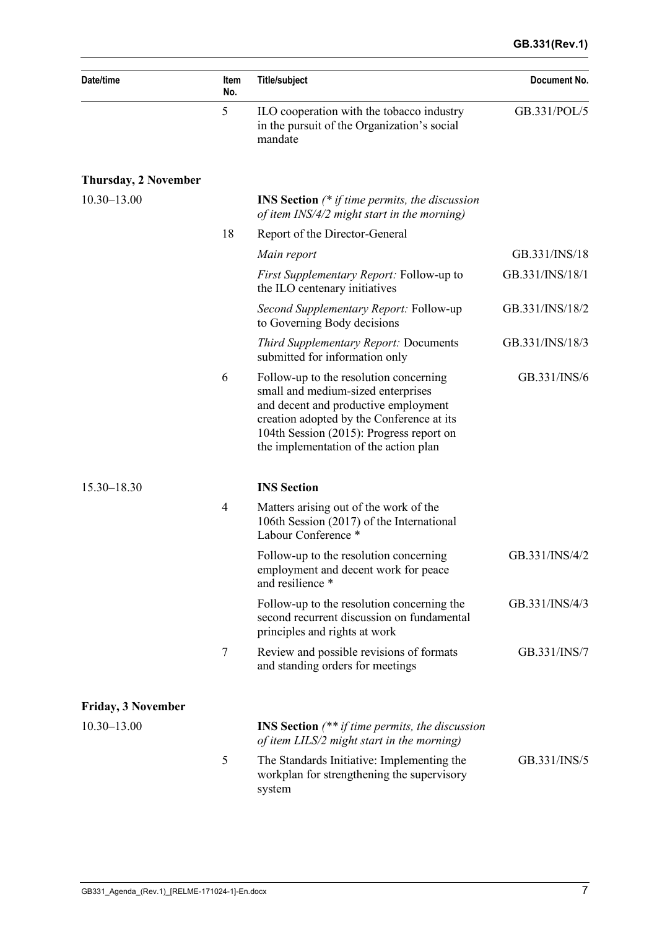| Date/time                   | Item<br>No.    | <b>Title/subject</b>                                                                                                                                                                                                                                   | Document No.<br>GB.331/POL/5 |  |  |  |  |
|-----------------------------|----------------|--------------------------------------------------------------------------------------------------------------------------------------------------------------------------------------------------------------------------------------------------------|------------------------------|--|--|--|--|
|                             | 5              | ILO cooperation with the tobacco industry<br>in the pursuit of the Organization's social<br>mandate                                                                                                                                                    |                              |  |  |  |  |
| <b>Thursday, 2 November</b> |                |                                                                                                                                                                                                                                                        |                              |  |  |  |  |
| $10.30 - 13.00$             |                | <b>INS Section</b> $(*$ if time permits, the discussion<br>of item INS/4/2 might start in the morning)                                                                                                                                                 |                              |  |  |  |  |
|                             | 18             | Report of the Director-General                                                                                                                                                                                                                         |                              |  |  |  |  |
|                             |                | Main report                                                                                                                                                                                                                                            | GB.331/INS/18                |  |  |  |  |
|                             |                | <i>First Supplementary Report:</i> Follow-up to<br>the ILO centenary initiatives                                                                                                                                                                       | GB.331/INS/18/1              |  |  |  |  |
|                             |                | <i>Second Supplementary Report: Follow-up</i><br>to Governing Body decisions                                                                                                                                                                           | GB.331/INS/18/2              |  |  |  |  |
|                             |                | <b>Third Supplementary Report: Documents</b><br>submitted for information only                                                                                                                                                                         | GB.331/INS/18/3              |  |  |  |  |
|                             | 6              | Follow-up to the resolution concerning<br>small and medium-sized enterprises<br>and decent and productive employment<br>creation adopted by the Conference at its<br>104th Session (2015): Progress report on<br>the implementation of the action plan | GB.331/INS/6                 |  |  |  |  |
| 15.30-18.30                 |                | <b>INS</b> Section                                                                                                                                                                                                                                     |                              |  |  |  |  |
|                             | $\overline{4}$ | Matters arising out of the work of the<br>106th Session (2017) of the International<br>Labour Conference *                                                                                                                                             |                              |  |  |  |  |
|                             |                | Follow-up to the resolution concerning<br>employment and decent work for peace<br>and resilience *                                                                                                                                                     | GB.331/INS/4/2               |  |  |  |  |
|                             |                | Follow-up to the resolution concerning the<br>second recurrent discussion on fundamental<br>principles and rights at work                                                                                                                              | GB.331/INS/4/3               |  |  |  |  |
|                             | $\tau$         | Review and possible revisions of formats<br>and standing orders for meetings                                                                                                                                                                           | GB.331/INS/7                 |  |  |  |  |
| <b>Friday, 3 November</b>   |                |                                                                                                                                                                                                                                                        |                              |  |  |  |  |
| $10.30 - 13.00$             |                | <b>INS Section</b> $(** if time permits, the discussion$<br>of item LILS/2 might start in the morning)                                                                                                                                                 |                              |  |  |  |  |
|                             | 5              | The Standards Initiative: Implementing the<br>workplan for strengthening the supervisory<br>system                                                                                                                                                     | GB.331/INS/5                 |  |  |  |  |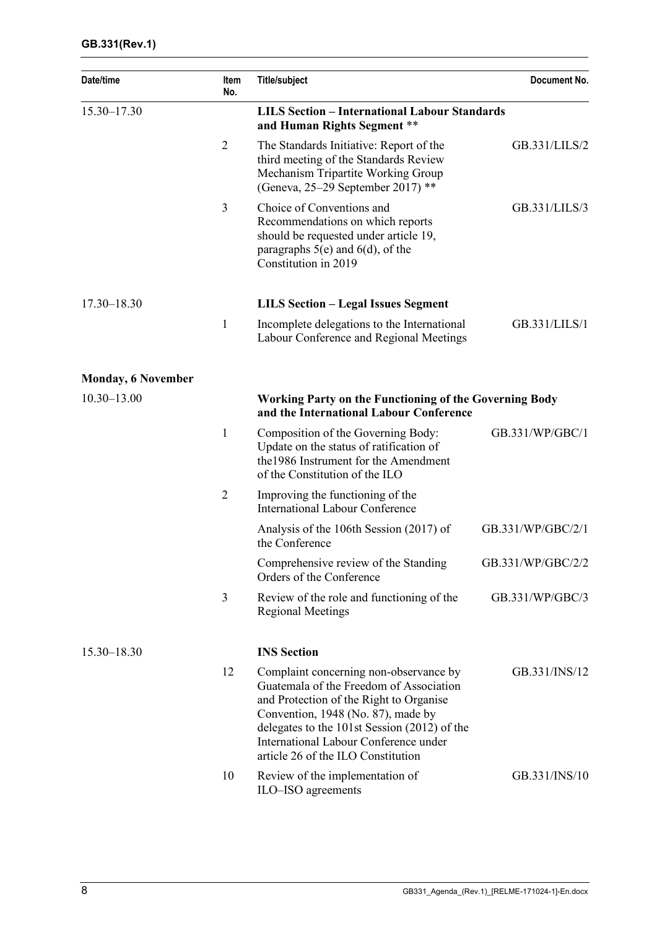| Date/time                 | Item<br>No.    | <b>Title/subject</b>                                                                                                                                                                                                                                                                              | Document No.      |
|---------------------------|----------------|---------------------------------------------------------------------------------------------------------------------------------------------------------------------------------------------------------------------------------------------------------------------------------------------------|-------------------|
| 15.30-17.30               |                | <b>LILS Section - International Labour Standards</b><br>and Human Rights Segment **                                                                                                                                                                                                               |                   |
|                           | $\overline{2}$ | The Standards Initiative: Report of the<br>third meeting of the Standards Review<br>Mechanism Tripartite Working Group<br>(Geneva, 25–29 September 2017) **                                                                                                                                       | GB.331/LILS/2     |
|                           | 3              | Choice of Conventions and<br>Recommendations on which reports<br>should be requested under article 19,<br>paragraphs $5(e)$ and $6(d)$ , of the<br>Constitution in 2019                                                                                                                           | GB.331/LILS/3     |
| $17.30 - 18.30$           |                | <b>LILS Section - Legal Issues Segment</b>                                                                                                                                                                                                                                                        |                   |
|                           | $\mathbf{1}$   | Incomplete delegations to the International<br>Labour Conference and Regional Meetings                                                                                                                                                                                                            | GB.331/LILS/1     |
| <b>Monday, 6 November</b> |                |                                                                                                                                                                                                                                                                                                   |                   |
| $10.30 - 13.00$           |                | <b>Working Party on the Functioning of the Governing Body</b><br>and the International Labour Conference                                                                                                                                                                                          |                   |
|                           | 1              | Composition of the Governing Body:<br>Update on the status of ratification of<br>the 1986 Instrument for the Amendment<br>of the Constitution of the ILO                                                                                                                                          | GB.331/WP/GBC/1   |
|                           | $\overline{2}$ | Improving the functioning of the<br><b>International Labour Conference</b>                                                                                                                                                                                                                        |                   |
|                           |                | Analysis of the 106th Session (2017) of<br>the Conference                                                                                                                                                                                                                                         | GB.331/WP/GBC/2/1 |
|                           |                | Comprehensive review of the Standing<br>Orders of the Conference                                                                                                                                                                                                                                  | GB.331/WP/GBC/2/2 |
|                           | 3              | Review of the role and functioning of the<br><b>Regional Meetings</b>                                                                                                                                                                                                                             | GB.331/WP/GBC/3   |
| $15.30 - 18.30$           |                | <b>INS</b> Section                                                                                                                                                                                                                                                                                |                   |
|                           | 12             | Complaint concerning non-observance by<br>Guatemala of the Freedom of Association<br>and Protection of the Right to Organise<br>Convention, 1948 (No. 87), made by<br>delegates to the 101st Session (2012) of the<br>International Labour Conference under<br>article 26 of the ILO Constitution | GB.331/INS/12     |
|                           | 10             | Review of the implementation of<br>ILO-ISO agreements                                                                                                                                                                                                                                             | GB.331/INS/10     |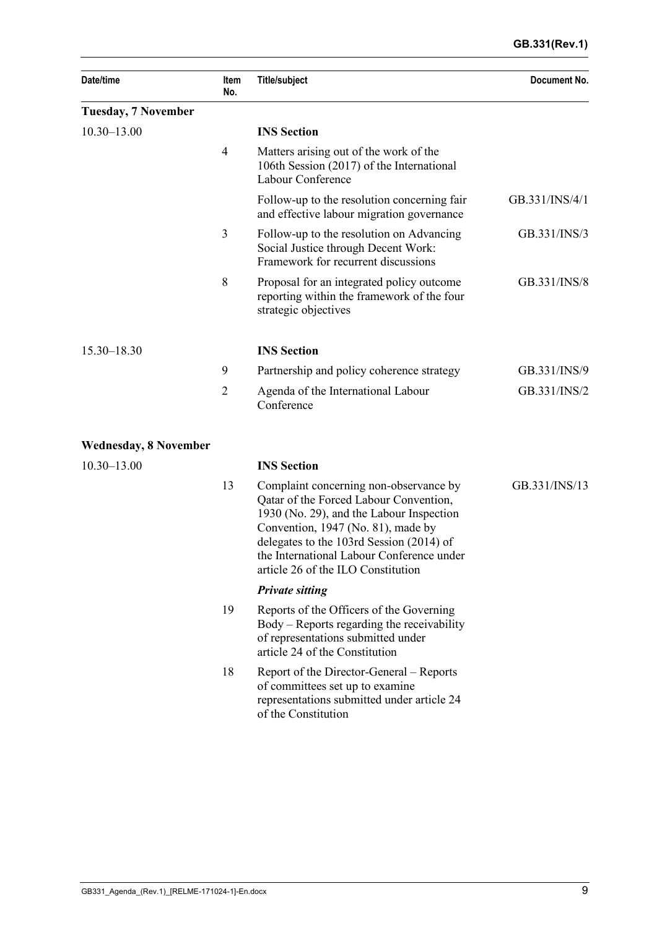#### **GB.331(Rev.1)**

| Date/time                                                                                                           | Item<br>No.    | <b>Title/subject</b>                                                                                                                                                                                                                                                                              | Document No.   |
|---------------------------------------------------------------------------------------------------------------------|----------------|---------------------------------------------------------------------------------------------------------------------------------------------------------------------------------------------------------------------------------------------------------------------------------------------------|----------------|
| <b>Tuesday, 7 November</b><br>$10.30 - 13.00$<br>$15.30 - 18.30$<br><b>Wednesday, 8 November</b><br>$10.30 - 13.00$ |                |                                                                                                                                                                                                                                                                                                   |                |
|                                                                                                                     |                | <b>INS Section</b>                                                                                                                                                                                                                                                                                |                |
|                                                                                                                     | $\overline{4}$ | Matters arising out of the work of the<br>106th Session (2017) of the International<br>Labour Conference                                                                                                                                                                                          |                |
|                                                                                                                     |                | Follow-up to the resolution concerning fair<br>and effective labour migration governance                                                                                                                                                                                                          | GB.331/INS/4/1 |
|                                                                                                                     | 3              | Follow-up to the resolution on Advancing<br>Social Justice through Decent Work:<br>Framework for recurrent discussions                                                                                                                                                                            | GB.331/INS/3   |
|                                                                                                                     | 8              | Proposal for an integrated policy outcome<br>reporting within the framework of the four<br>strategic objectives                                                                                                                                                                                   | GB.331/INS/8   |
|                                                                                                                     |                | <b>INS Section</b>                                                                                                                                                                                                                                                                                |                |
|                                                                                                                     | 9              | Partnership and policy coherence strategy                                                                                                                                                                                                                                                         | GB.331/INS/9   |
|                                                                                                                     | $\overline{2}$ | Agenda of the International Labour<br>Conference                                                                                                                                                                                                                                                  | GB.331/INS/2   |
|                                                                                                                     |                |                                                                                                                                                                                                                                                                                                   |                |
|                                                                                                                     |                | <b>INS Section</b>                                                                                                                                                                                                                                                                                |                |
|                                                                                                                     | 13             | Complaint concerning non-observance by<br>Qatar of the Forced Labour Convention,<br>1930 (No. 29), and the Labour Inspection<br>Convention, 1947 (No. 81), made by<br>delegates to the 103rd Session (2014) of<br>the International Labour Conference under<br>article 26 of the ILO Constitution | GB.331/INS/13  |
|                                                                                                                     |                | <b>Private sitting</b>                                                                                                                                                                                                                                                                            |                |
|                                                                                                                     | 19             | Reports of the Officers of the Governing<br>Body – Reports regarding the receivability<br>of representations submitted under<br>article 24 of the Constitution                                                                                                                                    |                |
|                                                                                                                     | 18             | Report of the Director-General – Reports<br>of committees set up to examine<br>representations submitted under article 24<br>of the Constitution                                                                                                                                                  |                |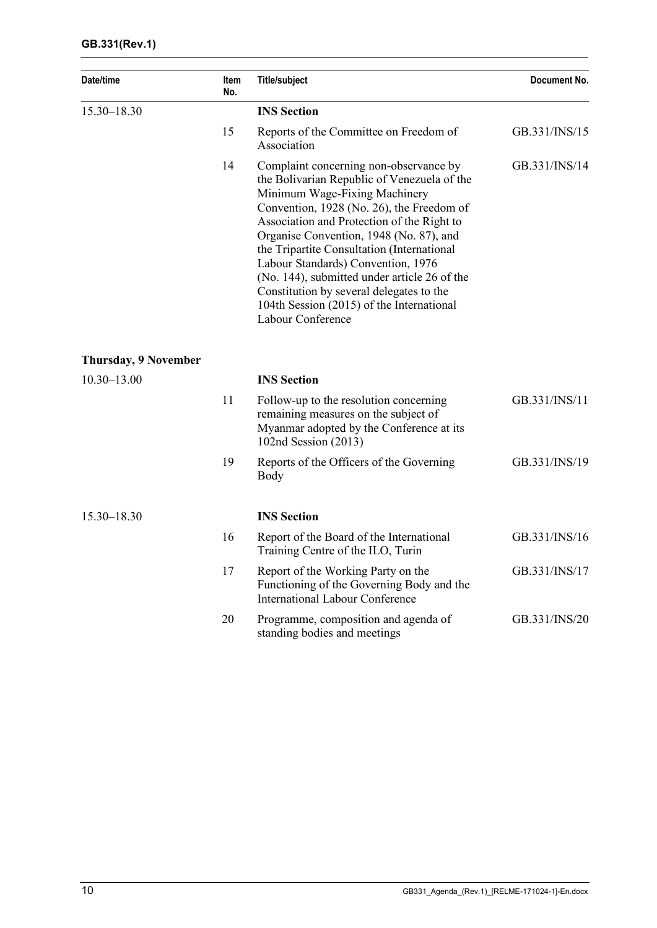| Date/time                   | Item<br>No. | <b>Title/subject</b>                                                                                                                                                                                                                                                                                                                                                                                                                                                                                           | Document No.  |
|-----------------------------|-------------|----------------------------------------------------------------------------------------------------------------------------------------------------------------------------------------------------------------------------------------------------------------------------------------------------------------------------------------------------------------------------------------------------------------------------------------------------------------------------------------------------------------|---------------|
| 15.30-18.30                 |             | <b>INS</b> Section                                                                                                                                                                                                                                                                                                                                                                                                                                                                                             |               |
|                             | 15          | Reports of the Committee on Freedom of<br>Association                                                                                                                                                                                                                                                                                                                                                                                                                                                          | GB.331/INS/15 |
|                             | 14          | Complaint concerning non-observance by<br>the Bolivarian Republic of Venezuela of the<br>Minimum Wage-Fixing Machinery<br>Convention, 1928 (No. 26), the Freedom of<br>Association and Protection of the Right to<br>Organise Convention, 1948 (No. 87), and<br>the Tripartite Consultation (International<br>Labour Standards) Convention, 1976<br>(No. 144), submitted under article 26 of the<br>Constitution by several delegates to the<br>104th Session (2015) of the International<br>Labour Conference | GB.331/INS/14 |
| <b>Thursday, 9 November</b> |             |                                                                                                                                                                                                                                                                                                                                                                                                                                                                                                                |               |
| $10.30 - 13.00$             |             | <b>INS Section</b>                                                                                                                                                                                                                                                                                                                                                                                                                                                                                             |               |
|                             | 11          | Follow-up to the resolution concerning<br>remaining measures on the subject of<br>Myanmar adopted by the Conference at its<br>102nd Session (2013)                                                                                                                                                                                                                                                                                                                                                             | GB.331/INS/11 |
|                             | 19          | Reports of the Officers of the Governing<br>Body                                                                                                                                                                                                                                                                                                                                                                                                                                                               | GB.331/INS/19 |
| 15.30-18.30                 |             | <b>INS</b> Section                                                                                                                                                                                                                                                                                                                                                                                                                                                                                             |               |
|                             | 16          | Report of the Board of the International<br>Training Centre of the ILO, Turin                                                                                                                                                                                                                                                                                                                                                                                                                                  | GB.331/INS/16 |
|                             | 17          | Report of the Working Party on the<br>Functioning of the Governing Body and the<br><b>International Labour Conference</b>                                                                                                                                                                                                                                                                                                                                                                                      | GB.331/INS/17 |
|                             | 20          | Programme, composition and agenda of<br>standing bodies and meetings                                                                                                                                                                                                                                                                                                                                                                                                                                           | GB.331/INS/20 |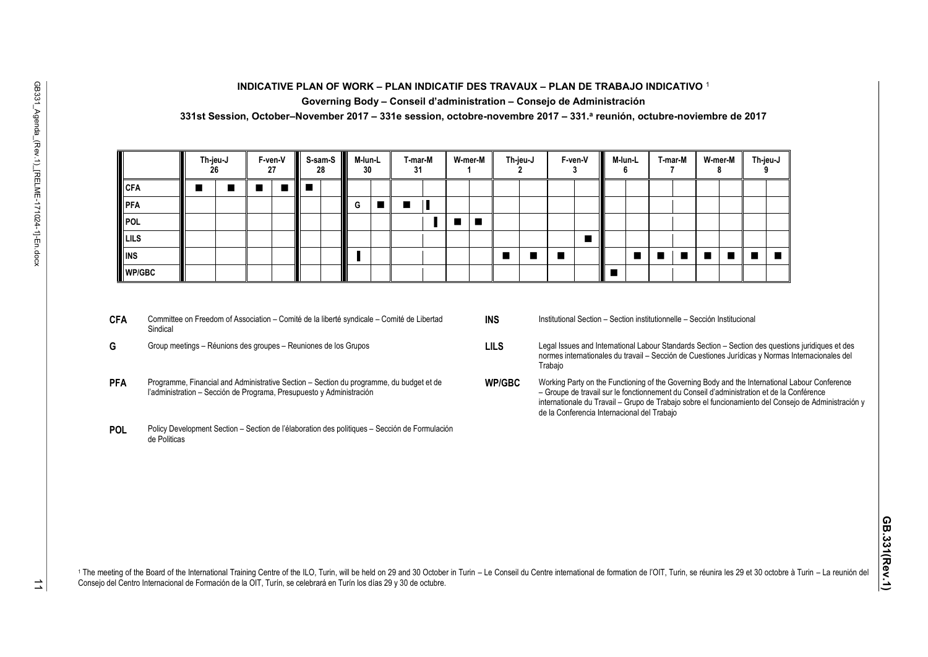#### **INDICATIVE PLAN OF WORK – PLAN INDICATIF DES TRAVAUX – PLAN DE TRABAJO INDICATIVO** <sup>1</sup> **Governing Body – Conseil d'administration – Consejo de Administración**

**331st Session, October–November 2017 – 331e session, octobre-novembre 2017 – 331.<sup>a</sup> reunión, octubre-noviembre de 2017**

|               | Th-jeu-J<br>26 | $F$ -ven-V<br>27 | S-sam-S<br>28 | M-lun-L<br>30 | T-mar-M<br>31 |      | W-mer-M        | Th-jeu-J | F-ven-V |  | M-lun-L | T-mar-M | W-mer-M | Th-jeu-J |  |
|---------------|----------------|------------------|---------------|---------------|---------------|------|----------------|----------|---------|--|---------|---------|---------|----------|--|
| <b>CFA</b>    |                | $\blacksquare$   |               |               |               |      |                |          |         |  |         |         |         |          |  |
| PFA           |                |                  |               | G             | ٠             |      |                |          |         |  |         |         |         |          |  |
| POL           |                |                  |               |               |               | a ka | $\blacksquare$ |          |         |  |         |         |         |          |  |
| LILS          |                |                  |               |               |               |      |                |          |         |  |         |         |         |          |  |
| <b>II</b> INS |                |                  |               |               |               |      |                | п        |         |  |         |         |         |          |  |
| <b>WP/GBC</b> |                |                  |               |               |               |      |                |          |         |  |         |         |         |          |  |

- **CFA** Committee on Freedom of Association Comité de la liberté syndicale Comité de Libertad Sindical
- 
- **PFA** Programme, Financial and Administrative Section Section du programme, du budget et de l'administration – Sección de Programa, Presupuesto y Administración
- **POL** Policy Development Section Section de l'élaboration des politiques Sección de Formulación de Politicas
- **INS** Institutional Section Section institutionnelle Sección Institucional
- **G** Group meetings Réunions des groupes Reuniones de los Grupos **LILS** Legal Issues and International Labour Standards Section Section des questions juridiques et des normes internationales du travail – Sección de Cuestiones Jurídicas y Normas Internacionales del Trabajo
	- **WP/GBC** Working Party on the Functioning of the Governing Body and the International Labour Conference – Groupe de travail sur le fonctionnement du Conseil d'administration et de la Conférence internationale du Travail – Grupo de Trabajo sobre el funcionamiento del Consejo de Administración y de la Conferencia Internacional del Trabajo

1 The meeting of the Board of the International Training Centre of the ILO, Turin, will be held on 29 and 30 October in Turin - Le Conseil du Centre international de formation de l'OIT, Turin, se réunira les 29 et 30 octob Consejo del Centro Internacional de Formación de la OIT, Turín, se celebrará en Turín los días 29 y 30 de octubre.

 $\overrightarrow{a}$